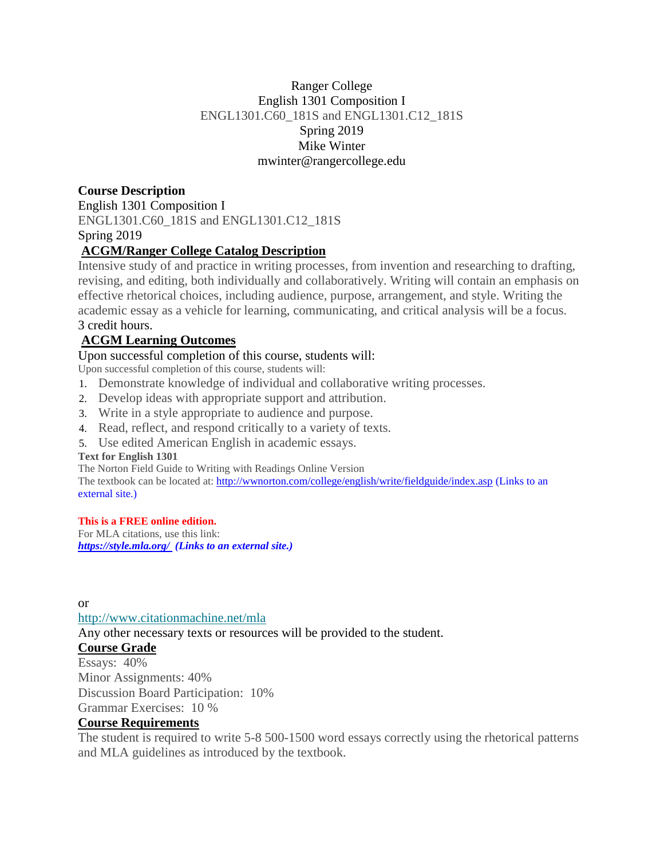## Ranger College English 1301 Composition I ENGL1301.C60\_181S and ENGL1301.C12\_181S Spring 2019 Mike Winter mwinter@rangercollege.edu

# **Course Description**

English 1301 Composition I ENGL1301.C60\_181S and ENGL1301.C12\_181S Spring 2019

# **ACGM/Ranger College Catalog Description**

Intensive study of and practice in writing processes, from invention and researching to drafting, revising, and editing, both individually and collaboratively. Writing will contain an emphasis on effective rhetorical choices, including audience, purpose, arrangement, and style. Writing the academic essay as a vehicle for learning, communicating, and critical analysis will be a focus. 3 credit hours.

# **ACGM Learning Outcomes**

Upon successful completion of this course, students will:

Upon successful completion of this course, students will:

- 1. Demonstrate knowledge of individual and collaborative writing processes.
- 2. Develop ideas with appropriate support and attribution.
- 3. Write in a style appropriate to audience and purpose.
- 4. Read, reflect, and respond critically to a variety of texts.
- 5. Use edited American English in academic essays.

#### **Text for English 1301**

The Norton Field Guide to Writing with Readings Online Version

The textbook can be located at: <http://wwnorton.com/college/english/write/fieldguide/index.asp> (Links to an [external](http://wwnorton.com/college/english/write/fieldguide/index.asp) site.)

#### **This is a FREE online edition.**

For MLA citations, use this link: *<https://style.mla.org/> (Links to an external site.)*

or

<http://www.citationmachine.net/mla>

Any other necessary texts or resources will be provided to the student.

## **Course Grade**

Essays: 40% Minor Assignments: 40% Discussion Board Participation: 10% Grammar Exercises: 10 %

## **Course Requirements**

The student is required to write 5-8 500-1500 word essays correctly using the rhetorical patterns and MLA guidelines as introduced by the textbook.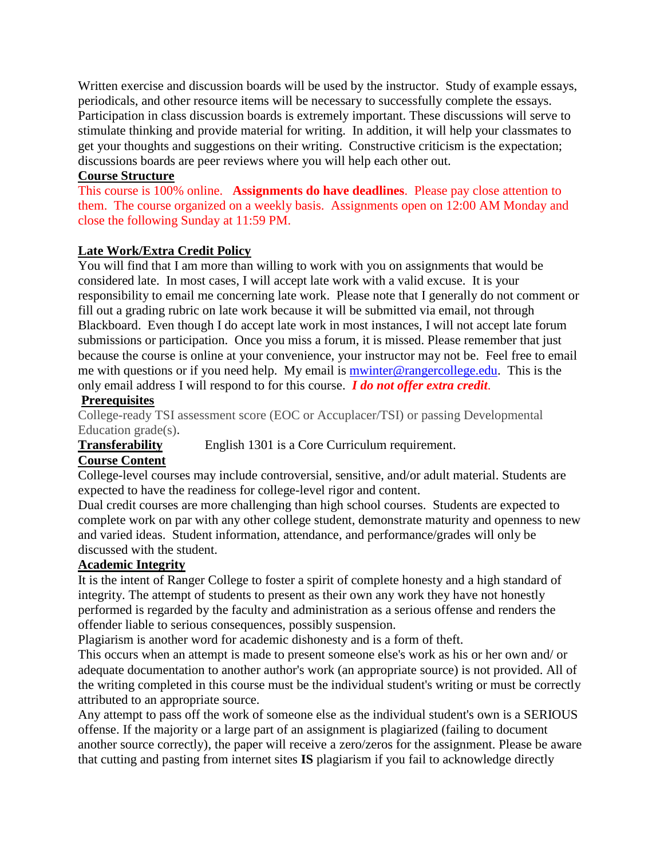Written exercise and discussion boards will be used by the instructor. Study of example essays, periodicals, and other resource items will be necessary to successfully complete the essays. Participation in class discussion boards is extremely important. These discussions will serve to stimulate thinking and provide material for writing. In addition, it will help your classmates to get your thoughts and suggestions on their writing. Constructive criticism is the expectation; discussions boards are peer reviews where you will help each other out.

#### **Course Structure**

This course is 100% online. **Assignments do have deadlines**. Please pay close attention to them. The course organized on a weekly basis. Assignments open on 12:00 AM Monday and close the following Sunday at 11:59 PM.

#### **Late Work/Extra Credit Policy**

You will find that I am more than willing to work with you on assignments that would be considered late. In most cases, I will accept late work with a valid excuse. It is your responsibility to email me concerning late work. Please note that I generally do not comment or fill out a grading rubric on late work because it will be submitted via email, not through Blackboard. Even though I do accept late work in most instances, I will not accept late forum submissions or participation. Once you miss a forum, it is missed. Please remember that just because the course is online at your convenience, your instructor may not be. Feel free to email me with questions or if you need help. My email is mwinter@rangercollege.edu. This is the only email address I will respond to for this course. *I do not offer extra credit*.

## **Prerequisites**

College-ready TSI assessment score (EOC or Accuplacer/TSI) or passing Developmental Education grade(s).

**Transferability** English 1301 is a Core Curriculum requirement.

## **Course Content**

College-level courses may include controversial, sensitive, and/or adult material. Students are expected to have the readiness for college-level rigor and content.

Dual credit courses are more challenging than high school courses. Students are expected to complete work on par with any other college student, demonstrate maturity and openness to new and varied ideas. Student information, attendance, and performance/grades will only be discussed with the student.

## **Academic Integrity**

It is the intent of Ranger College to foster a spirit of complete honesty and a high standard of integrity. The attempt of students to present as their own any work they have not honestly performed is regarded by the faculty and administration as a serious offense and renders the offender liable to serious consequences, possibly suspension.

Plagiarism is another word for academic dishonesty and is a form of theft.

This occurs when an attempt is made to present someone else's work as his or her own and/ or adequate documentation to another author's work (an appropriate source) is not provided. All of the writing completed in this course must be the individual student's writing or must be correctly attributed to an appropriate source.

Any attempt to pass off the work of someone else as the individual student's own is a SERIOUS offense. If the majority or a large part of an assignment is plagiarized (failing to document another source correctly), the paper will receive a zero/zeros for the assignment. Please be aware that cutting and pasting from internet sites **IS** plagiarism if you fail to acknowledge directly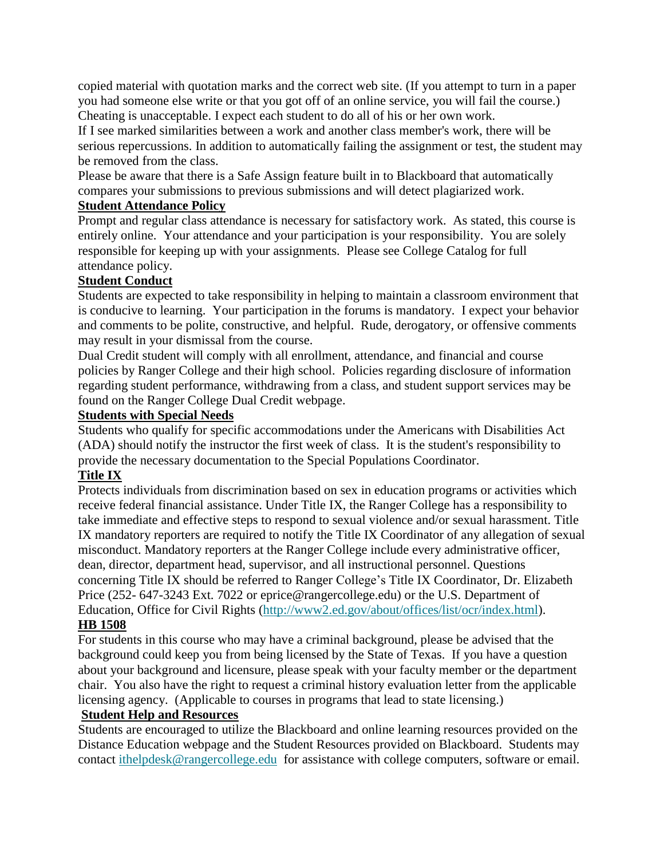copied material with quotation marks and the correct web site. (If you attempt to turn in a paper you had someone else write or that you got off of an online service, you will fail the course.) Cheating is unacceptable. I expect each student to do all of his or her own work.

If I see marked similarities between a work and another class member's work, there will be serious repercussions. In addition to automatically failing the assignment or test, the student may be removed from the class.

Please be aware that there is a Safe Assign feature built in to Blackboard that automatically compares your submissions to previous submissions and will detect plagiarized work.

#### **Student Attendance Policy**

Prompt and regular class attendance is necessary for satisfactory work. As stated, this course is entirely online. Your attendance and your participation is your responsibility. You are solely responsible for keeping up with your assignments. Please see College Catalog for full attendance policy.

## **Student Conduct**

Students are expected to take responsibility in helping to maintain a classroom environment that is conducive to learning. Your participation in the forums is mandatory. I expect your behavior and comments to be polite, constructive, and helpful. Rude, derogatory, or offensive comments may result in your dismissal from the course.

Dual Credit student will comply with all enrollment, attendance, and financial and course policies by Ranger College and their high school. Policies regarding disclosure of information regarding student performance, withdrawing from a class, and student support services may be found on the Ranger College Dual Credit webpage.

#### **Students with Special Needs**

Students who qualify for specific accommodations under the Americans with Disabilities Act (ADA) should notify the instructor the first week of class. It is the student's responsibility to provide the necessary documentation to the Special Populations Coordinator.

## **Title IX**

Protects individuals from discrimination based on sex in education programs or activities which receive federal financial assistance. Under Title IX, the Ranger College has a responsibility to take immediate and effective steps to respond to sexual violence and/or sexual harassment. Title IX mandatory reporters are required to notify the Title IX Coordinator of any allegation of sexual misconduct. Mandatory reporters at the Ranger College include every administrative officer, dean, director, department head, supervisor, and all instructional personnel. Questions concerning Title IX should be referred to Ranger College's Title IX Coordinator, Dr. Elizabeth Price (252- 647-3243 Ext. 7022 or eprice@rangercollege.edu) or the U.S. Department of Education, Office for Civil Rights [\(http://www2.ed.gov/about/offices/list/ocr/index.html\)](http://www2.ed.gov/about/offices/list/ocr/index.html). **HB 1508**

#### For students in this course who may have a criminal background, please be advised that the background could keep you from being licensed by the State of Texas. If you have a question about your background and licensure, please speak with your faculty member or the department chair. You also have the right to request a criminal history evaluation letter from the applicable licensing agency. (Applicable to courses in programs that lead to state licensing.)

#### **Student Help and Resources**

Students are encouraged to utilize the Blackboard and online learning resources provided on the Distance Education webpage and the Student Resources provided on Blackboard. Students may contact [ithelpdesk@rangercollege.edu](mailto:ithelpdesk@rangercollege.edu) for assistance with college computers, software or email.